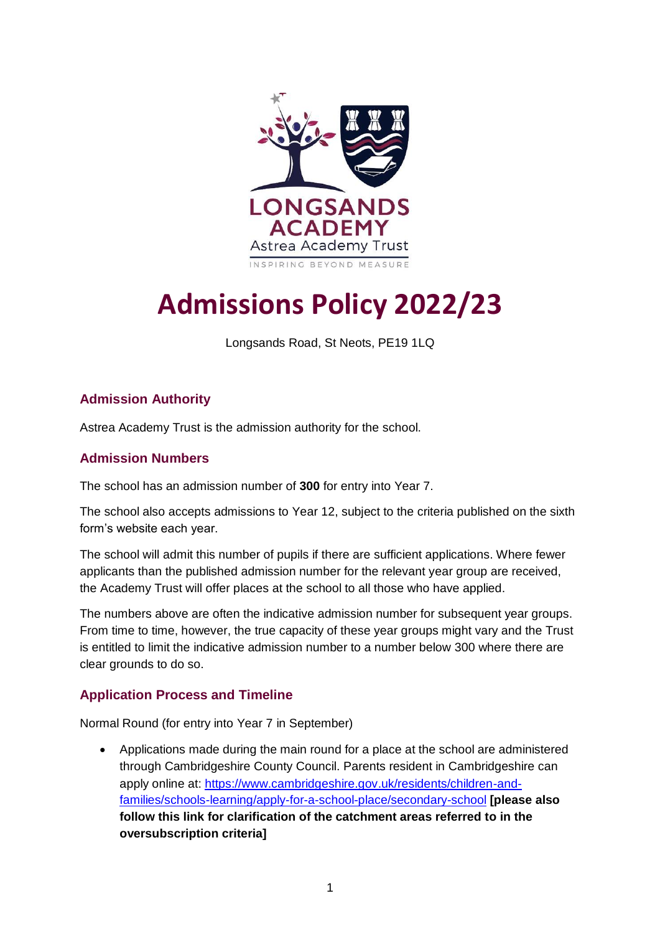

# **Admissions Policy 2022/23**

Longsands Road, St Neots, PE19 1LQ

## **Admission Authority**

Astrea Academy Trust is the admission authority for the school.

### **Admission Numbers**

The school has an admission number of **300** for entry into Year 7.

The school also accepts admissions to Year 12, subject to the criteria published on the sixth form's website each year.

The school will admit this number of pupils if there are sufficient applications. Where fewer applicants than the published admission number for the relevant year group are received, the Academy Trust will offer places at the school to all those who have applied.

The numbers above are often the indicative admission number for subsequent year groups. From time to time, however, the true capacity of these year groups might vary and the Trust is entitled to limit the indicative admission number to a number below 300 where there are clear grounds to do so.

### **Application Process and Timeline**

Normal Round (for entry into Year 7 in September)

 Applications made during the main round for a place at the school are administered through Cambridgeshire County Council. Parents resident in Cambridgeshire can apply online at: [https://www.cambridgeshire.gov.uk/residents/children-and](https://www.cambridgeshire.gov.uk/residents/children-and-families/schools-learning/apply-for-a-school-place/secondary-school)[families/schools-learning/apply-for-a-school-place/secondary-school](https://www.cambridgeshire.gov.uk/residents/children-and-families/schools-learning/apply-for-a-school-place/secondary-school) **[please also follow this link for clarification of the catchment areas referred to in the oversubscription criteria]**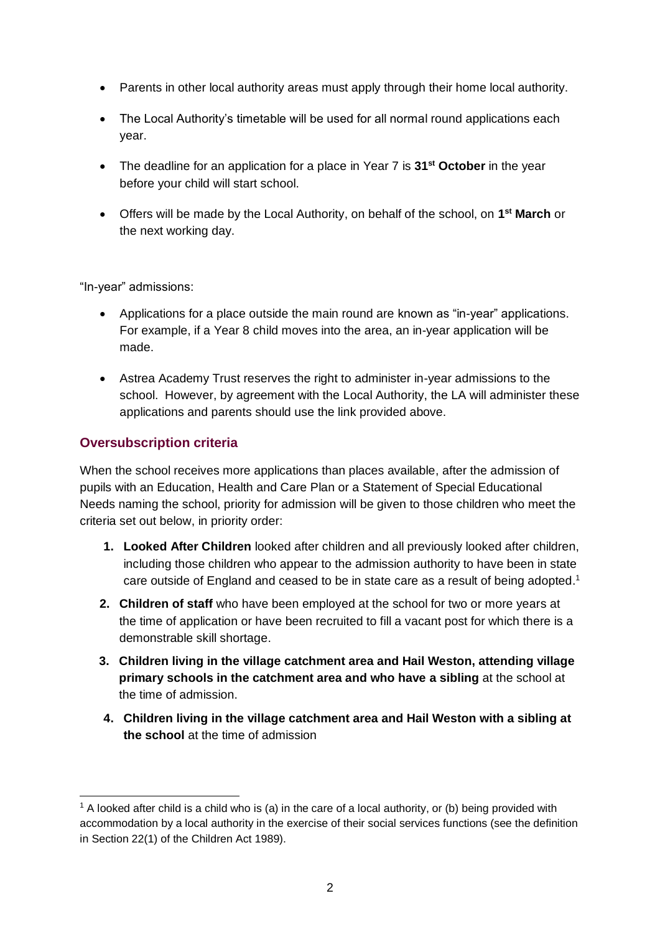- Parents in other local authority areas must apply through their home local authority.
- The Local Authority's timetable will be used for all normal round applications each year.
- The deadline for an application for a place in Year 7 is **31st October** in the year before your child will start school.
- Offers will be made by the Local Authority, on behalf of the school, on **1 st March** or the next working day.

"In-year" admissions:

- Applications for a place outside the main round are known as "in-year" applications. For example, if a Year 8 child moves into the area, an in-year application will be made.
- Astrea Academy Trust reserves the right to administer in-year admissions to the school. However, by agreement with the Local Authority, the LA will administer these applications and parents should use the link provided above.

## **Oversubscription criteria**

When the school receives more applications than places available, after the admission of pupils with an Education, Health and Care Plan or a Statement of Special Educational Needs naming the school, priority for admission will be given to those children who meet the criteria set out below, in priority order:

- **1. Looked After Children** looked after children and all previously looked after children, including those children who appear to the admission authority to have been in state care outside of England and ceased to be in state care as a result of being adopted.<sup>1</sup>
- **2. Children of staff** who have been employed at the school for two or more years at the time of application or have been recruited to fill a vacant post for which there is a demonstrable skill shortage.
- **3. Children living in the village catchment area and Hail Weston, attending village primary schools in the catchment area and who have a sibling** at the school at the time of admission.
- **4. Children living in the village catchment area and Hail Weston with a sibling at the school** at the time of admission

<sup>-</sup> $1$  A looked after child is a child who is (a) in the care of a local authority, or (b) being provided with accommodation by a local authority in the exercise of their social services functions (see the definition in Section 22(1) of the Children Act 1989).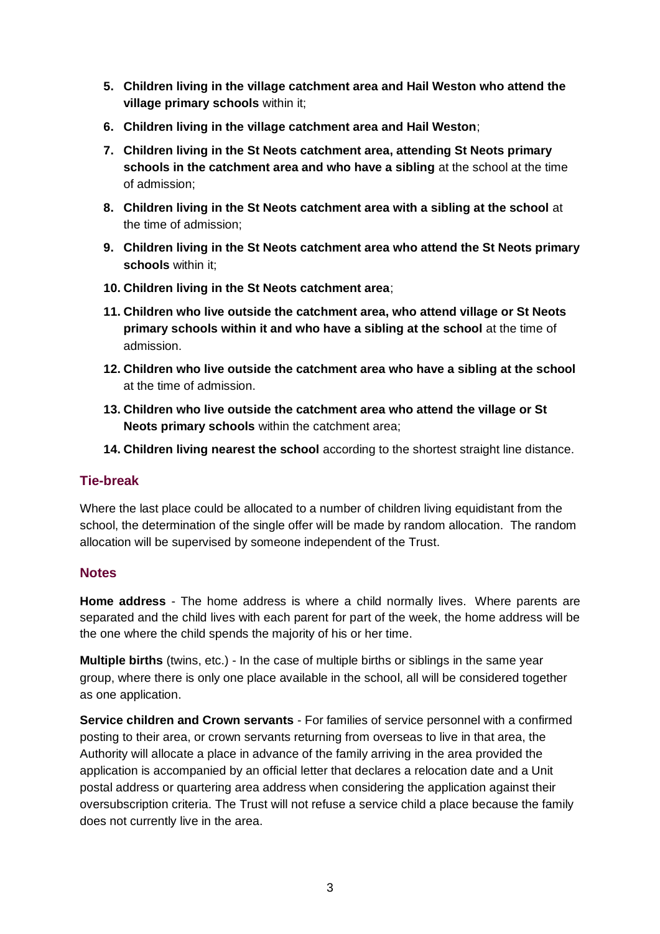- **5. Children living in the village catchment area and Hail Weston who attend the village primary schools** within it;
- **6. Children living in the village catchment area and Hail Weston**;
- **7. Children living in the St Neots catchment area, attending St Neots primary schools in the catchment area and who have a sibling** at the school at the time of admission;
- **8. Children living in the St Neots catchment area with a sibling at the school** at the time of admission;
- **9. Children living in the St Neots catchment area who attend the St Neots primary schools** within it;
- **10. Children living in the St Neots catchment area**;
- **11. Children who live outside the catchment area, who attend village or St Neots primary schools within it and who have a sibling at the school** at the time of admission.
- **12. Children who live outside the catchment area who have a sibling at the school** at the time of admission.
- **13. Children who live outside the catchment area who attend the village or St Neots primary schools** within the catchment area;
- **14. Children living nearest the school** according to the shortest straight line distance.

### **Tie-break**

Where the last place could be allocated to a number of children living equidistant from the school, the determination of the single offer will be made by random allocation. The random allocation will be supervised by someone independent of the Trust.

### **Notes**

**Home address** - The home address is where a child normally lives. Where parents are separated and the child lives with each parent for part of the week, the home address will be the one where the child spends the majority of his or her time.

**Multiple births** (twins, etc.) - In the case of multiple births or siblings in the same year group, where there is only one place available in the school, all will be considered together as one application.

**Service children and Crown servants** - For families of service personnel with a confirmed posting to their area, or crown servants returning from overseas to live in that area, the Authority will allocate a place in advance of the family arriving in the area provided the application is accompanied by an official letter that declares a relocation date and a Unit postal address or quartering area address when considering the application against their oversubscription criteria. The Trust will not refuse a service child a place because the family does not currently live in the area.